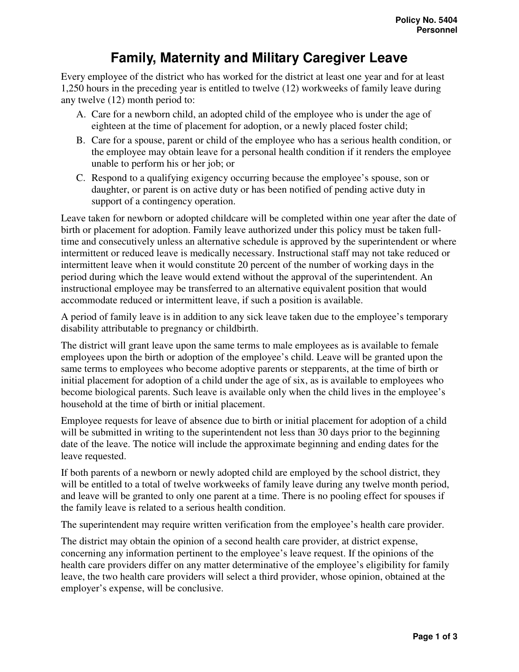# **Family, Maternity and Military Caregiver Leave**

Every employee of the district who has worked for the district at least one year and for at least 1,250 hours in the preceding year is entitled to twelve (12) workweeks of family leave during any twelve (12) month period to:

- A. Care for a newborn child, an adopted child of the employee who is under the age of eighteen at the time of placement for adoption, or a newly placed foster child;
- B. Care for a spouse, parent or child of the employee who has a serious health condition, or the employee may obtain leave for a personal health condition if it renders the employee unable to perform his or her job; or
- C. Respond to a qualifying exigency occurring because the employee's spouse, son or daughter, or parent is on active duty or has been notified of pending active duty in support of a contingency operation.

Leave taken for newborn or adopted childcare will be completed within one year after the date of birth or placement for adoption. Family leave authorized under this policy must be taken fulltime and consecutively unless an alternative schedule is approved by the superintendent or where intermittent or reduced leave is medically necessary. Instructional staff may not take reduced or intermittent leave when it would constitute 20 percent of the number of working days in the period during which the leave would extend without the approval of the superintendent. An instructional employee may be transferred to an alternative equivalent position that would accommodate reduced or intermittent leave, if such a position is available.

A period of family leave is in addition to any sick leave taken due to the employee's temporary disability attributable to pregnancy or childbirth.

The district will grant leave upon the same terms to male employees as is available to female employees upon the birth or adoption of the employee's child. Leave will be granted upon the same terms to employees who become adoptive parents or stepparents, at the time of birth or initial placement for adoption of a child under the age of six, as is available to employees who become biological parents. Such leave is available only when the child lives in the employee's household at the time of birth or initial placement.

Employee requests for leave of absence due to birth or initial placement for adoption of a child will be submitted in writing to the superintendent not less than 30 days prior to the beginning date of the leave. The notice will include the approximate beginning and ending dates for the leave requested.

If both parents of a newborn or newly adopted child are employed by the school district, they will be entitled to a total of twelve workweeks of family leave during any twelve month period, and leave will be granted to only one parent at a time. There is no pooling effect for spouses if the family leave is related to a serious health condition.

The superintendent may require written verification from the employee's health care provider.

The district may obtain the opinion of a second health care provider, at district expense, concerning any information pertinent to the employee's leave request. If the opinions of the health care providers differ on any matter determinative of the employee's eligibility for family leave, the two health care providers will select a third provider, whose opinion, obtained at the employer's expense, will be conclusive.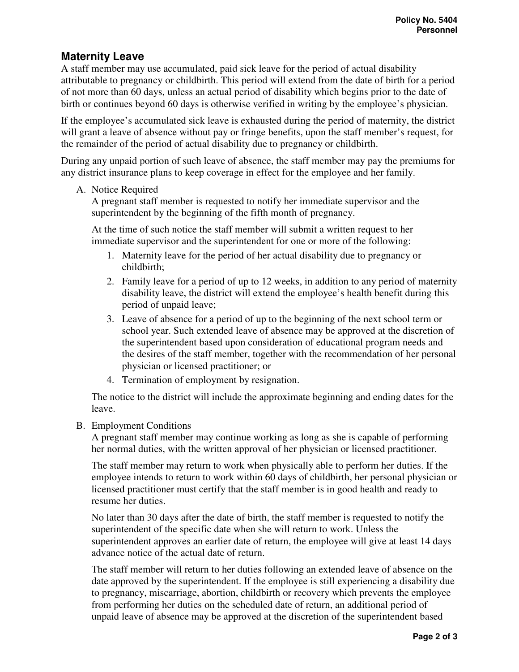# **Maternity Leave**

A staff member may use accumulated, paid sick leave for the period of actual disability attributable to pregnancy or childbirth. This period will extend from the date of birth for a period of not more than 60 days, unless an actual period of disability which begins prior to the date of birth or continues beyond 60 days is otherwise verified in writing by the employee's physician.

If the employee's accumulated sick leave is exhausted during the period of maternity, the district will grant a leave of absence without pay or fringe benefits, upon the staff member's request, for the remainder of the period of actual disability due to pregnancy or childbirth.

During any unpaid portion of such leave of absence, the staff member may pay the premiums for any district insurance plans to keep coverage in effect for the employee and her family.

#### A. Notice Required

A pregnant staff member is requested to notify her immediate supervisor and the superintendent by the beginning of the fifth month of pregnancy.

At the time of such notice the staff member will submit a written request to her immediate supervisor and the superintendent for one or more of the following:

- 1. Maternity leave for the period of her actual disability due to pregnancy or childbirth;
- 2. Family leave for a period of up to 12 weeks, in addition to any period of maternity disability leave, the district will extend the employee's health benefit during this period of unpaid leave;
- 3. Leave of absence for a period of up to the beginning of the next school term or school year. Such extended leave of absence may be approved at the discretion of the superintendent based upon consideration of educational program needs and the desires of the staff member, together with the recommendation of her personal physician or licensed practitioner; or
- 4. Termination of employment by resignation.

The notice to the district will include the approximate beginning and ending dates for the leave.

#### B. Employment Conditions

A pregnant staff member may continue working as long as she is capable of performing her normal duties, with the written approval of her physician or licensed practitioner.

The staff member may return to work when physically able to perform her duties. If the employee intends to return to work within 60 days of childbirth, her personal physician or licensed practitioner must certify that the staff member is in good health and ready to resume her duties.

No later than 30 days after the date of birth, the staff member is requested to notify the superintendent of the specific date when she will return to work. Unless the superintendent approves an earlier date of return, the employee will give at least 14 days advance notice of the actual date of return.

The staff member will return to her duties following an extended leave of absence on the date approved by the superintendent. If the employee is still experiencing a disability due to pregnancy, miscarriage, abortion, childbirth or recovery which prevents the employee from performing her duties on the scheduled date of return, an additional period of unpaid leave of absence may be approved at the discretion of the superintendent based